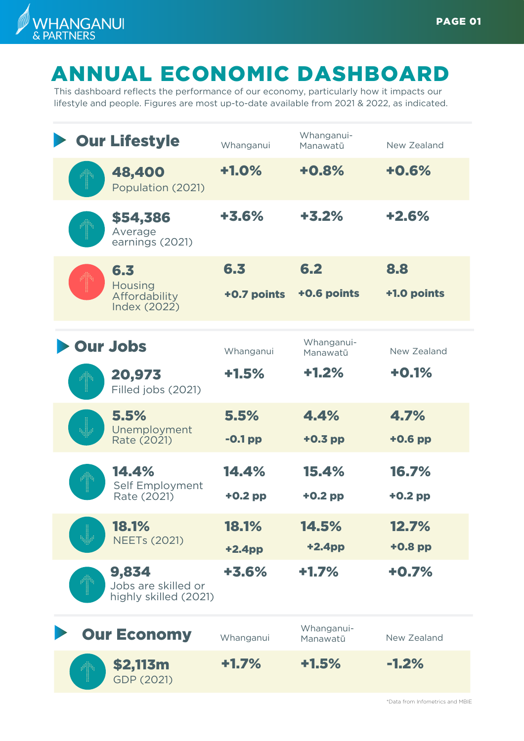

## ANNUAL ECONOMIC DASHBOARD

This dashboard reflects the performance of our economy, particularly how it impacts our lifestyle and people. Figures are most up-to-date available from 2021 & 2022, as indicated.

| <b>Our Lifestyle</b>                                   | Whanganui          | Whanganui-<br>Manawatū | New Zealand        |
|--------------------------------------------------------|--------------------|------------------------|--------------------|
| 48,400<br>Population (2021)                            | $+1.0%$            | $+0.8%$                | $+0.6%$            |
| \$54,386<br>Average<br>earnings (2021)                 | $+3.6%$            | $+3.2%$                | $+2.6%$            |
| 6.3<br>Housing<br>Affordability<br><b>Index (2022)</b> | 6,3<br>+0.7 points | 6.2<br>+0.6 points     | 8.8<br>+1.0 points |
| <b>Our Jobs</b>                                        | Whanganui          | Whanganui-<br>Manawatū | New Zealand        |
| 20,973<br>Filled jobs (2021)                           | $+1.5%$            | $+1.2%$                | $+0.1%$            |
| 5.5%<br>Unemployment<br>Rate (2021)                    | 5.5%<br>$-0.1$ pp  | 4.4%<br>$+0.3$ pp      | 4.7%<br>$+0.6$ pp  |
| 14.4%<br>Self Employment<br>Rate (2021)                | 14.4%<br>$+0.2$ pp | 15.4%<br>$+0.2$ pp     | 16.7%<br>$+0.2$ pp |
| <b>18.1%</b><br><b>NEETs (2021)</b>                    | 18.1%<br>$+2.4pp$  | 14.5%<br>$+2.4$ pp     | 12.7%<br>$+0.8$ pp |
| 9,834<br>Jobs are skilled or<br>highly skilled (2021)  | +3.6%              | $+1.7%$                | $+0.7%$            |
| <b>Our Economy</b>                                     | Whanganui          | Whanganui-<br>Manawatū | New Zealand        |
| \$2,113m<br>l<br>GDP (2021)                            | $+1.7%$            | $+1.5%$                | $-1.2%$            |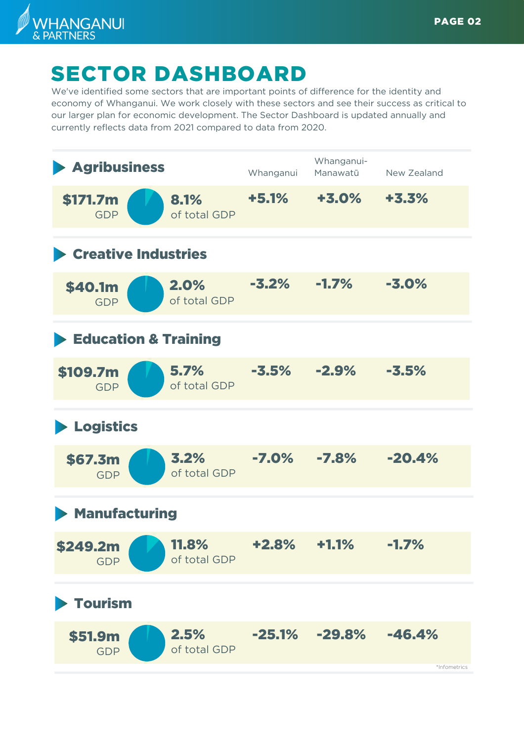

## SECTOR DASHBOARD

We've identified some sectors that are important points of difference for the identity and economy of Whanganui. We work closely with these sectors and see their success as critical to our larger plan for economic development. The Sector Dashboard is updated annually and currently reflects data from 2021 compared to data from 2020.

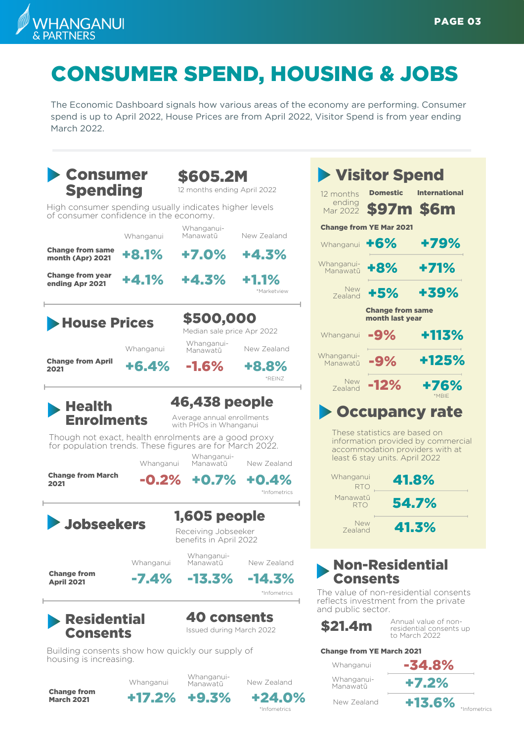

## CONSUMER SPEND, HOUSING & JOBS

The Economic Dashboard signals how various areas of the economy are performing. Consumer spend is up to April 2022, House Prices are from April 2022, Visitor Spend is from year ending March 2022.